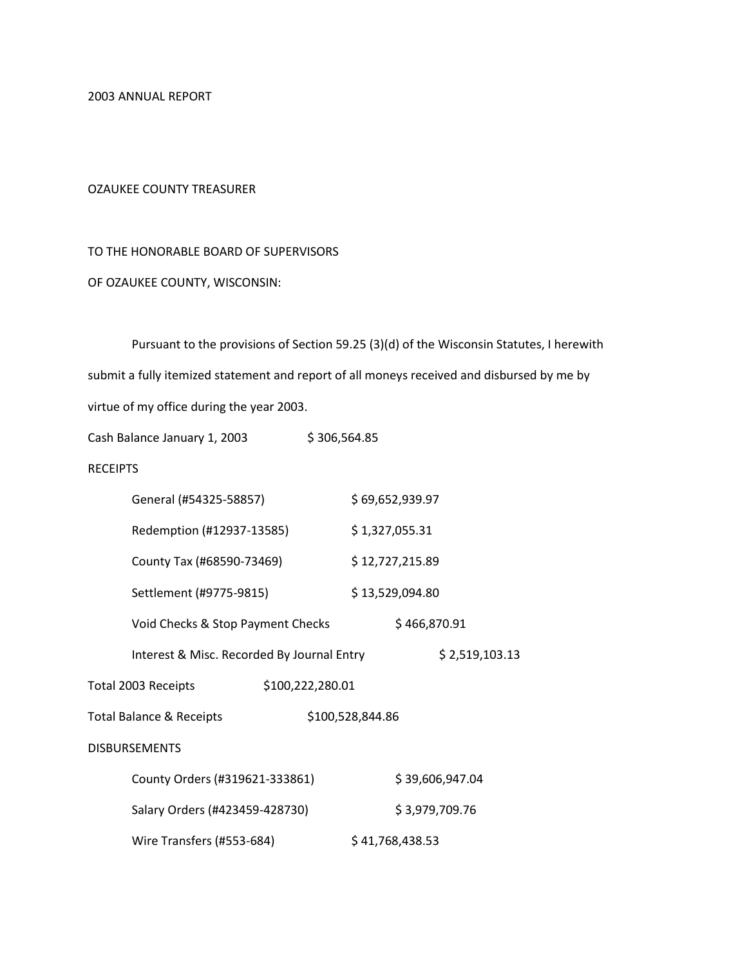2003 ANNUAL REPORT

#### OZAUKEE COUNTY TREASURER

### TO THE HONORABLE BOARD OF SUPERVISORS

### OF OZAUKEE COUNTY, WISCONSIN:

Pursuant to the provisions of Section 59.25 (3)(d) of the Wisconsin Statutes, I herewith submit a fully itemized statement and report of all moneys received and disbursed by me by virtue of my office during the year 2003.

Cash Balance January 1, 2003 \$306,564.85

#### **RECEIPTS**

| General (#54325-58857)                     |                                            | \$69,652,939.97  |                 |
|--------------------------------------------|--------------------------------------------|------------------|-----------------|
| Redemption (#12937-13585)                  |                                            | \$1,327,055.31   |                 |
| County Tax (#68590-73469)                  |                                            | \$12,727,215.89  |                 |
|                                            | \$13,529,094.80<br>Settlement (#9775-9815) |                  |                 |
| Void Checks & Stop Payment Checks          |                                            |                  | \$466,870.91    |
| Interest & Misc. Recorded By Journal Entry |                                            |                  | \$2,519,103.13  |
| Total 2003 Receipts                        | \$100,222,280.01                           |                  |                 |
| <b>Total Balance &amp; Receipts</b>        |                                            | \$100,528,844.86 |                 |
| <b>DISBURSEMENTS</b>                       |                                            |                  |                 |
| County Orders (#319621-333861)             |                                            |                  | \$39,606,947.04 |
| Salary Orders (#423459-428730)             |                                            |                  | \$3,979,709.76  |
| Wire Transfers (#553-684)                  |                                            | \$41,768,438.53  |                 |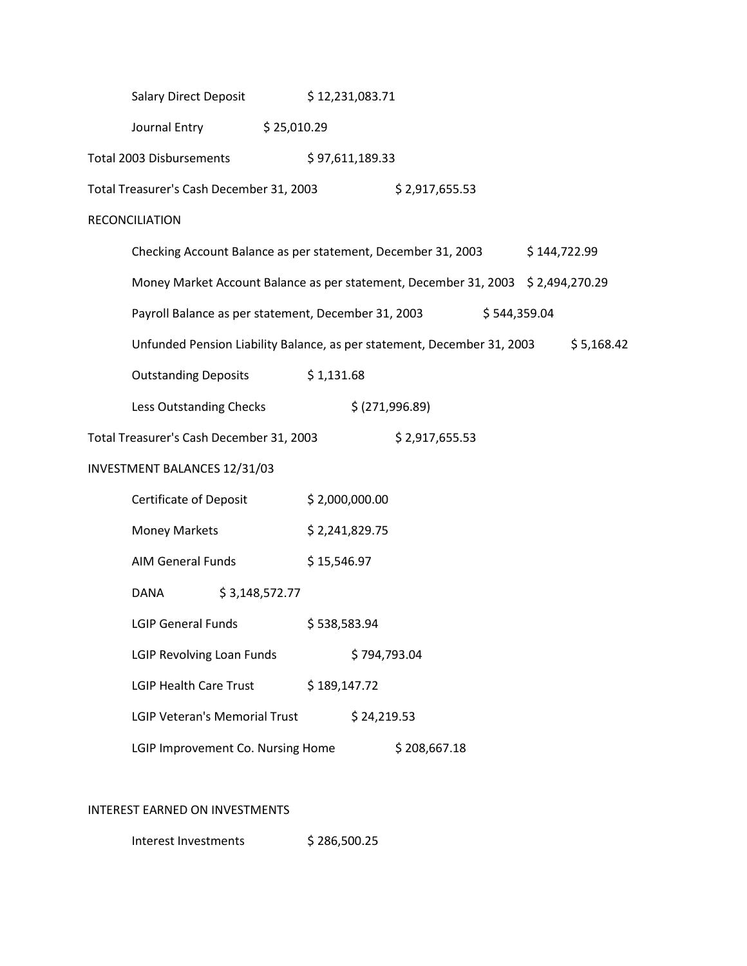|                               | <b>Salary Direct Deposit</b>                                                     |                | \$12,231,083.71 |                |              |              |            |
|-------------------------------|----------------------------------------------------------------------------------|----------------|-----------------|----------------|--------------|--------------|------------|
|                               | Journal Entry \$25,010.29                                                        |                |                 |                |              |              |            |
| Total 2003 Disbursements      |                                                                                  |                | \$97,611,189.33 |                |              |              |            |
|                               | Total Treasurer's Cash December 31, 2003                                         |                |                 | \$2,917,655.53 |              |              |            |
| <b>RECONCILIATION</b>         |                                                                                  |                |                 |                |              |              |            |
|                               | Checking Account Balance as per statement, December 31, 2003                     |                |                 |                |              | \$144,722.99 |            |
|                               | Money Market Account Balance as per statement, December 31, 2003 \$ 2,494,270.29 |                |                 |                |              |              |            |
|                               | Payroll Balance as per statement, December 31, 2003                              |                |                 |                | \$544,359.04 |              |            |
|                               | Unfunded Pension Liability Balance, as per statement, December 31, 2003          |                |                 |                |              |              | \$5,168.42 |
|                               | Outstanding Deposits \$1,131.68                                                  |                |                 |                |              |              |            |
|                               | Less Outstanding Checks                                                          |                | \$ (271,996.89) |                |              |              |            |
|                               | Total Treasurer's Cash December 31, 2003                                         |                |                 | \$2,917,655.53 |              |              |            |
| INVESTMENT BALANCES 12/31/03  |                                                                                  |                |                 |                |              |              |            |
| <b>Certificate of Deposit</b> |                                                                                  | \$2,000,000.00 |                 |                |              |              |            |
| <b>Money Markets</b>          |                                                                                  | \$2,241,829.75 |                 |                |              |              |            |
| AIM General Funds             |                                                                                  | \$15,546.97    |                 |                |              |              |            |
| DANA                          | \$3,148,572.77                                                                   |                |                 |                |              |              |            |
| <b>LGIP General Funds</b>     |                                                                                  | \$538,583.94   |                 |                |              |              |            |
| LGIP Revolving Loan Funds     |                                                                                  |                | \$794,793.04    |                |              |              |            |
| <b>LGIP Health Care Trust</b> |                                                                                  | \$189,147.72   |                 |                |              |              |            |
|                               | <b>LGIP Veteran's Memorial Trust</b>                                             |                | \$24,219.53     |                |              |              |            |
|                               | LGIP Improvement Co. Nursing Home                                                |                |                 | \$208,667.18   |              |              |            |
|                               |                                                                                  |                |                 |                |              |              |            |

## INTEREST EARNED ON INVESTMENTS

Interest Investments \$286,500.25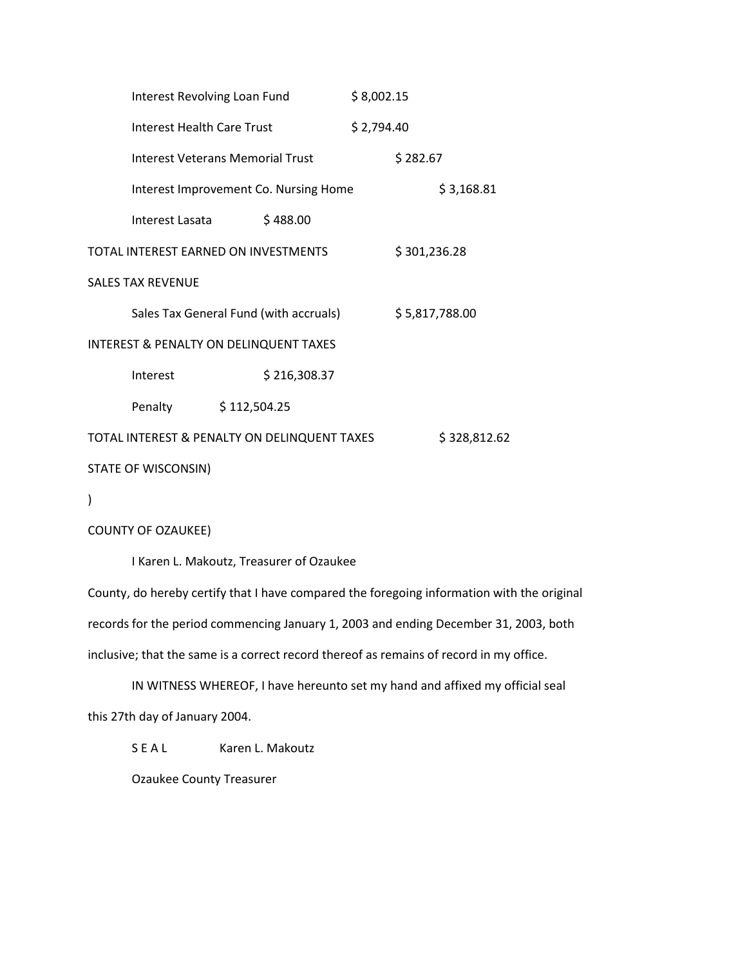| Interest Revolving Loan Fund                      |  |                                              | \$8,002.15 |                |
|---------------------------------------------------|--|----------------------------------------------|------------|----------------|
| Interest Health Care Trust                        |  |                                              | \$2,794.40 |                |
| Interest Veterans Memorial Trust                  |  |                                              |            | \$282.67       |
|                                                   |  | Interest Improvement Co. Nursing Home        |            | \$3,168.81     |
| Interest Lasata                                   |  | \$488.00                                     |            |                |
| TOTAL INTEREST EARNED ON INVESTMENTS              |  |                                              |            | \$301,236.28   |
| <b>SALES TAX REVENUE</b>                          |  |                                              |            |                |
|                                                   |  | Sales Tax General Fund (with accruals)       |            | \$5,817,788.00 |
| <b>INTEREST &amp; PENALTY ON DELINQUENT TAXES</b> |  |                                              |            |                |
| Interest                                          |  | \$216,308.37                                 |            |                |
| Penalty \$112,504.25                              |  |                                              |            |                |
|                                                   |  | TOTAL INTEREST & PENALTY ON DELINQUENT TAXES |            | \$328,812.62   |
| STATE OF WISCONSIN)                               |  |                                              |            |                |

)

COUNTY OF OZAUKEE)

I Karen L. Makoutz, Treasurer of Ozaukee

County, do hereby certify that I have compared the foregoing information with the original records for the period commencing January 1, 2003 and ending December 31, 2003, both inclusive; that the same is a correct record thereof as remains of record in my office.

IN WITNESS WHEREOF, I have hereunto set my hand and affixed my official seal this 27th day of January 2004.

S E A L Karen L. Makoutz

Ozaukee County Treasurer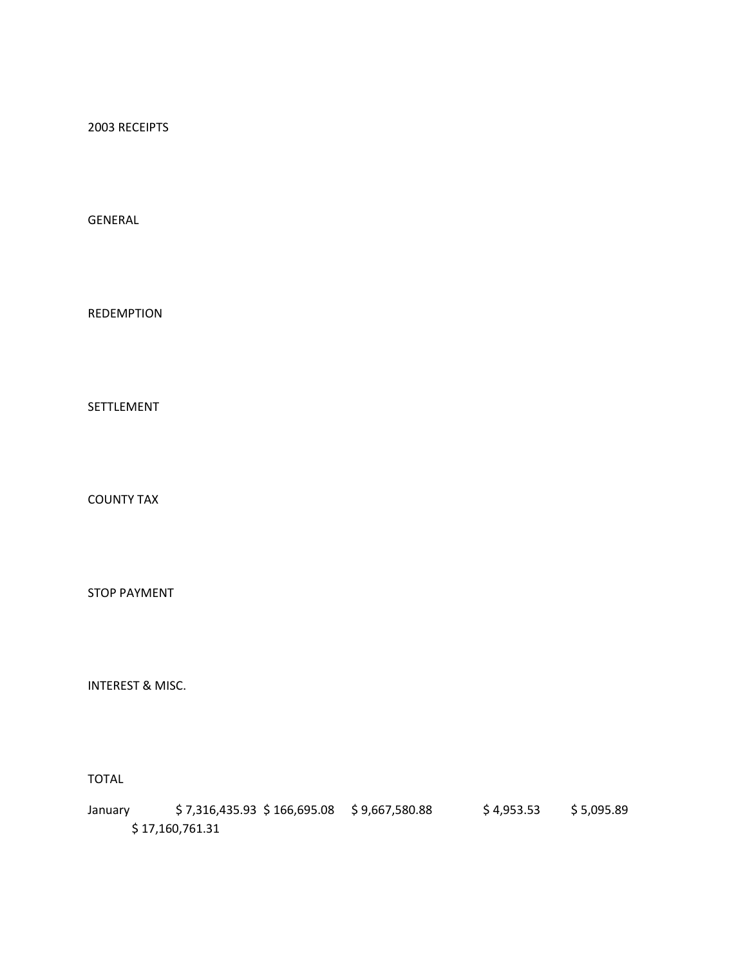2003 RECEIPTS

GENERAL

REDEMPTION

SETTLEMENT

COUNTY TAX

STOP PAYMENT

INTEREST & MISC.

TOTAL

January \$7,316,435.93 \$166,695.08 \$9,667,580.88 \$4,953.53 \$5,095.89 \$ 17,160,761.31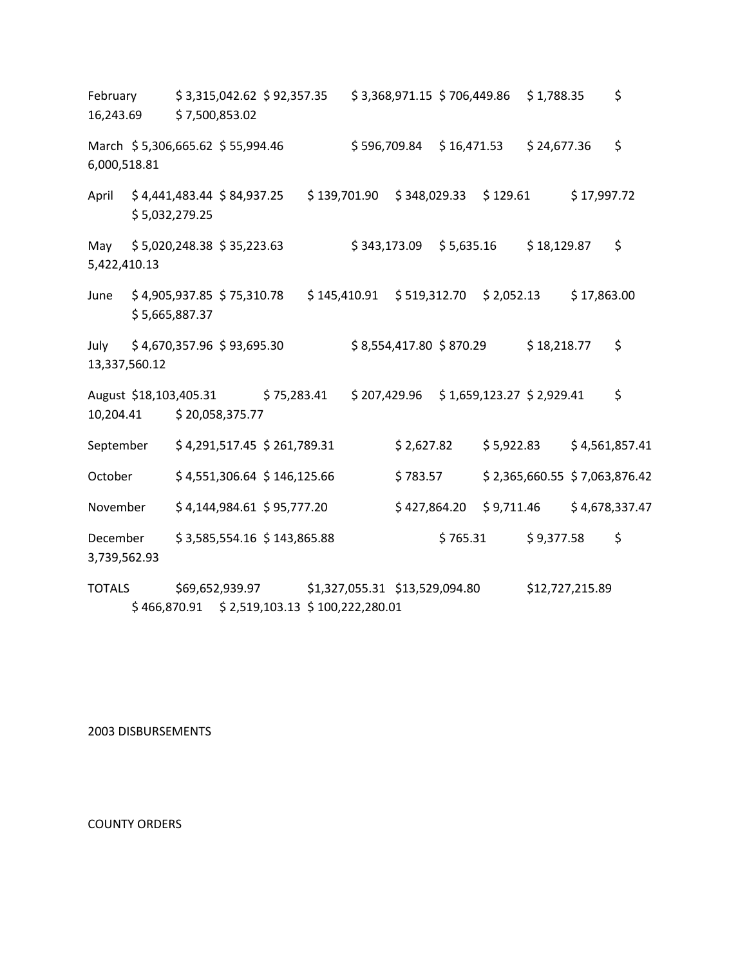February \$ 3,315,042.62 \$ 92,357.35 \$ 3,368,971.15 \$ 706,449.86 \$ 1,788.35 \$ 16,243.69 \$ 7,500,853.02 March \$ 5,306,665.62 \$ 55,994.46 \$ 596,709.84 \$ 16,471.53 \$ 24,677.36 \$ 6,000,518.81 April \$ 4,441,483.44 \$ 84,937.25 \$ 139,701.90 \$ 348,029.33 \$ 129.61 \$ 17,997.72 \$ 5,032,279.25 May \$5,020,248.38 \$35,223.63 \$ \$343,173.09 \$5,635.16 \$18,129.87 \$ 5,422,410.13 June \$4,905,937.85 \$75,310.78 \$145,410.91 \$519,312.70 \$2,052.13 \$17,863.00 \$ 5,665,887.37 July \$4,670,357.96 \$93,695.30 \$8,554,417.80 \$870.29 \$18,218.77 \$ 13,337,560.12 August \$18,103,405.31 \$ 75,283.41 \$ 207,429.96 \$ 1,659,123.27 \$ 2,929.41 \$ 10,204.41 \$ 20,058,375.77 September \$4,291,517.45 \$ 261,789.31 \$ 2,627.82 \$ 5,922.83 \$4,561,857.41 October \$4,551,306.64 \$146,125.66 \$783.57 \$2,365,660.55 \$7,063,876.42 November \$ 4,144,984.61 \$ 95,777.20 \$ 427,864.20 \$ 9,711.46 \$ 4,678,337.47 December \$ 3,585,554.16 \$ 143,865.88 \$ 765.31 \$ 9,377.58 \$ 3,739,562.93

TOTALS \$69,652,939.97 \$1,327,055.31 \$13,529,094.80 \$12,727,215.89 \$ 466,870.91 \$ 2,519,103.13 \$ 100,222,280.01

2003 DISBURSEMENTS

COUNTY ORDERS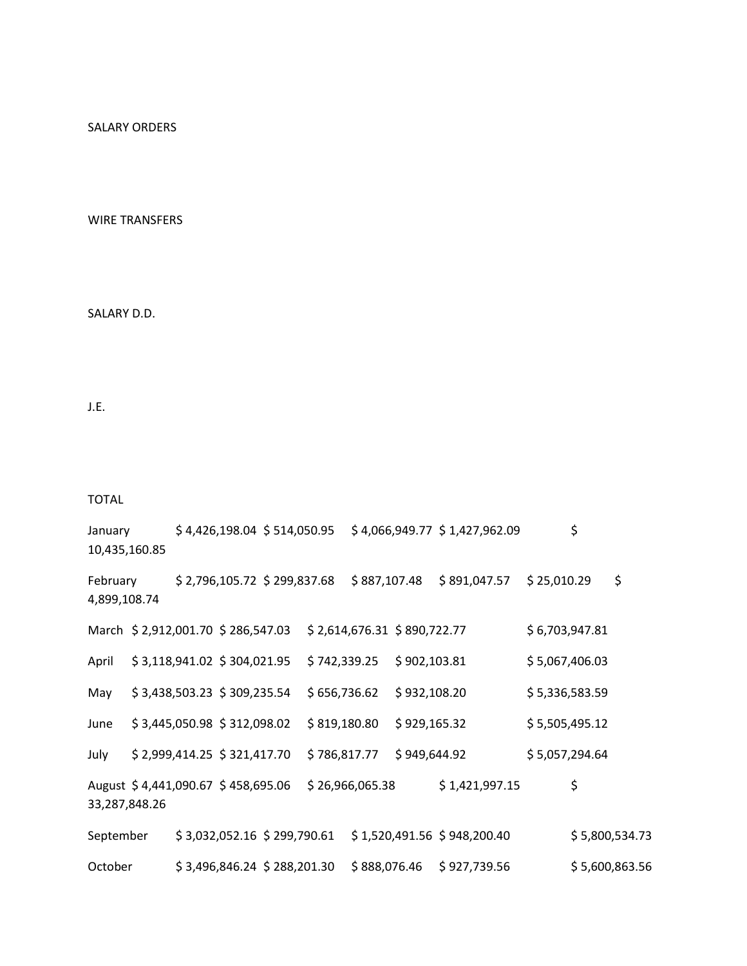SALARY ORDERS

WIRE TRANSFERS

SALARY D.D.

J.E.

TOTAL

January \$4,426,198.04 \$514,050.95 \$4,066,949.77 \$1,427,962.09 \$ 10,435,160.85

February \$2,796,105.72 \$299,837.68 \$887,107.48 \$891,047.57 \$25,010.29 \$ 4,899,108.74

|               |  | March \$2,912,001.70 \$286,547.03  | \$2,614,676.31 \$890,722.77 |                             | \$6,703,947.81 |
|---------------|--|------------------------------------|-----------------------------|-----------------------------|----------------|
| April         |  | \$3,118,941.02 \$304,021.95        | \$742,339.25                | \$902,103.81                | \$5,067,406.03 |
| May           |  | \$3,438,503.23 \$309,235.54        | \$656,736.62                | \$932,108.20                | \$5,336,583.59 |
| June          |  | \$3,445,050.98 \$312,098.02        | \$819,180.80                | \$929,165.32                | \$5,505,495.12 |
| July          |  | \$2,999,414.25 \$321,417.70        | \$786,817.77                | \$949,644.92                | \$5,057,294.64 |
| 33,287,848.26 |  | August \$4,441,090.67 \$458,695.06 | \$26,966,065.38             | \$1,421,997.15              | \$             |
| September     |  | \$3,032,052.16 \$299,790.61        |                             | \$1,520,491.56 \$948,200.40 | \$5,800,534.73 |

October \$ 3,496,846.24 \$ 288,201.30 \$ 888,076.46 \$ 927,739.56 \$ 5,600,863.56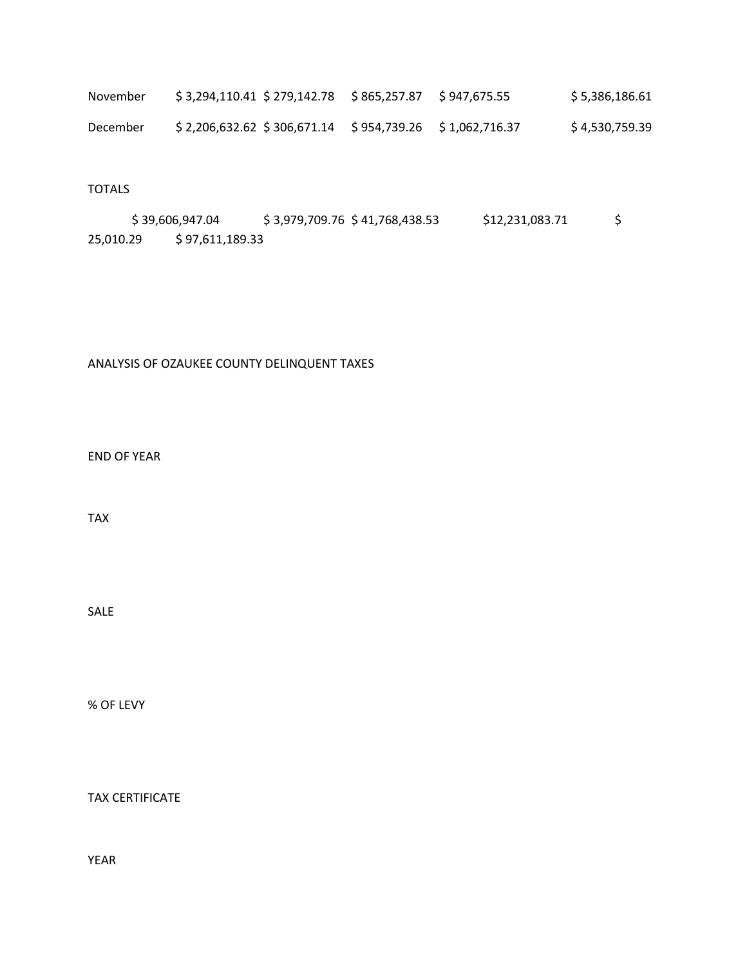| November | \$3,294,110.41 \$279,142.78                              | S 865.257.87 S 947.675.55 | \$5,386,186.61 |
|----------|----------------------------------------------------------|---------------------------|----------------|
| December | $$2,206,632.62 \$306,671.14 \$954,739.26 \$1,062,716.37$ |                           | \$4,530,759.39 |

## TOTALS

 $$39,606,947.04$   $$3,979,709.76$   $$41,768,438.53$   $$12,231,083.71$   $$$ 25,010.29 \$ 97,611,189.33

## ANALYSIS OF OZAUKEE COUNTY DELINQUENT TAXES

END OF YEAR

TAX

SALE

% OF LEVY

TAX CERTIFICATE

YEAR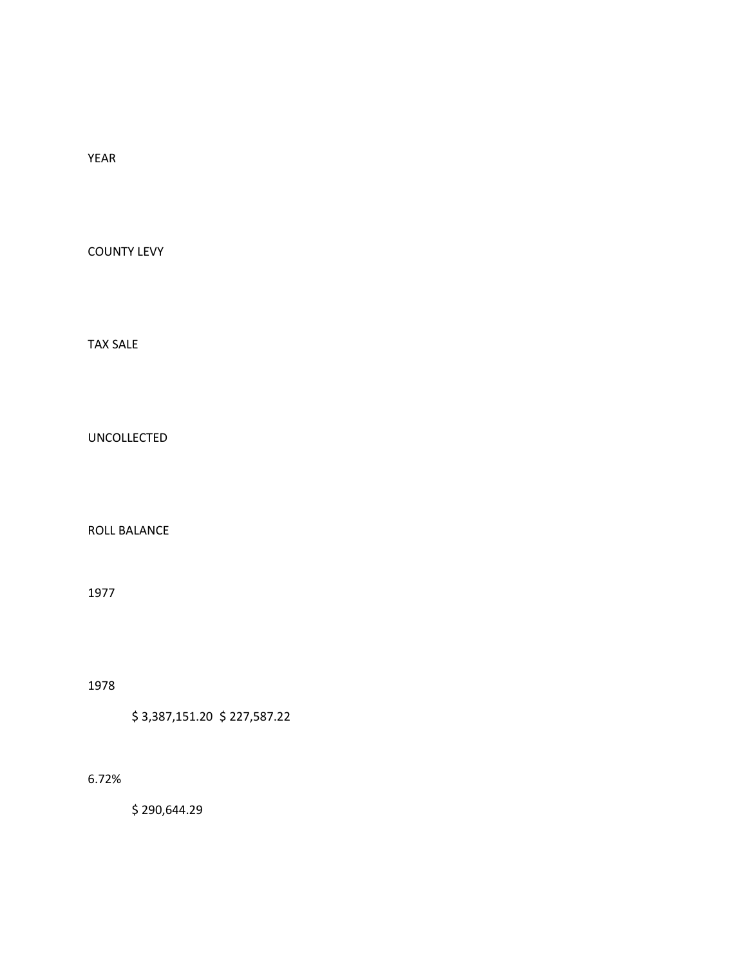YEAR

COUNTY LEVY

TAX SALE

UNCOLLECTED

ROLL BALANCE

1977

1978

\$ 3,387,151.20 \$ 227,587.22

6.72%

\$ 290,644.29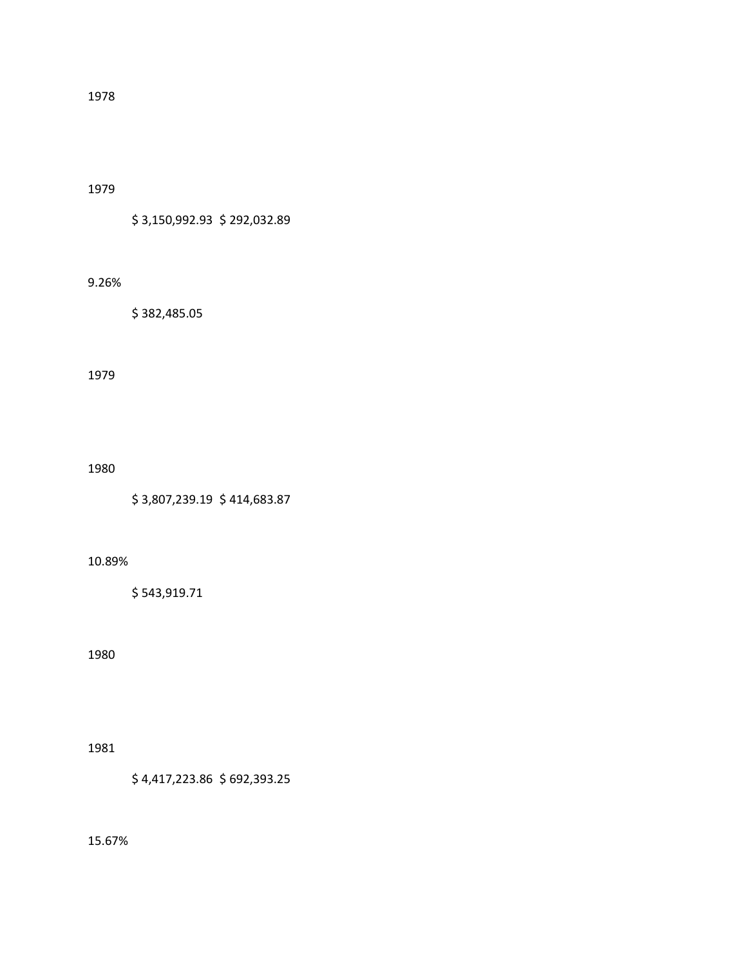1979

\$ 3,150,992.93 \$ 292,032.89

#### 9.26%

\$ 382,485.05

#### 1979

1980

\$ 3,807,239.19 \$ 414,683.87

### 10.89%

\$ 543,919.71

### 1980

1981

\$ 4,417,223.86 \$ 692,393.25

15.67%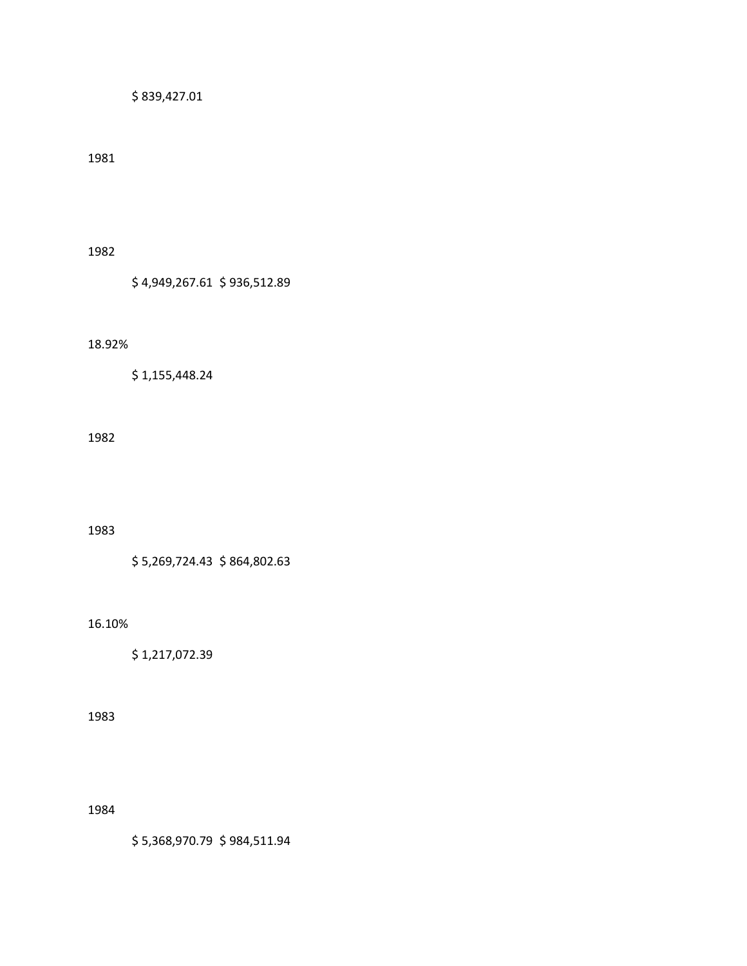\$ 839,427.01

1981

1982

\$ 4,949,267.61 \$ 936,512.89

18.92%

\$ 1,155,448.24

1982

1983

\$ 5,269,724.43 \$ 864,802.63

16.10%

\$ 1,217,072.39

1983

1984

\$ 5,368,970.79 \$ 984,511.94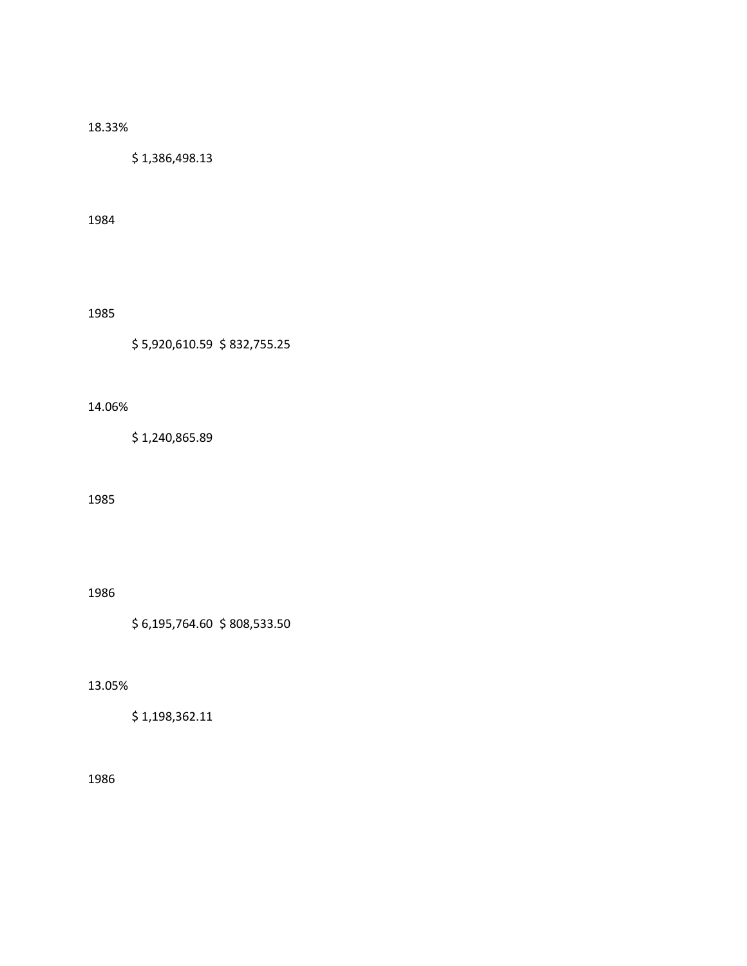## 18.33%

\$ 1,386,498.13

1984

## 1985

\$ 5,920,610.59 \$ 832,755.25

# 14.06%

\$ 1,240,865.89

#### 1985

1986

\$ 6,195,764.60 \$ 808,533.50

## 13.05%

\$ 1,198,362.11

### 1986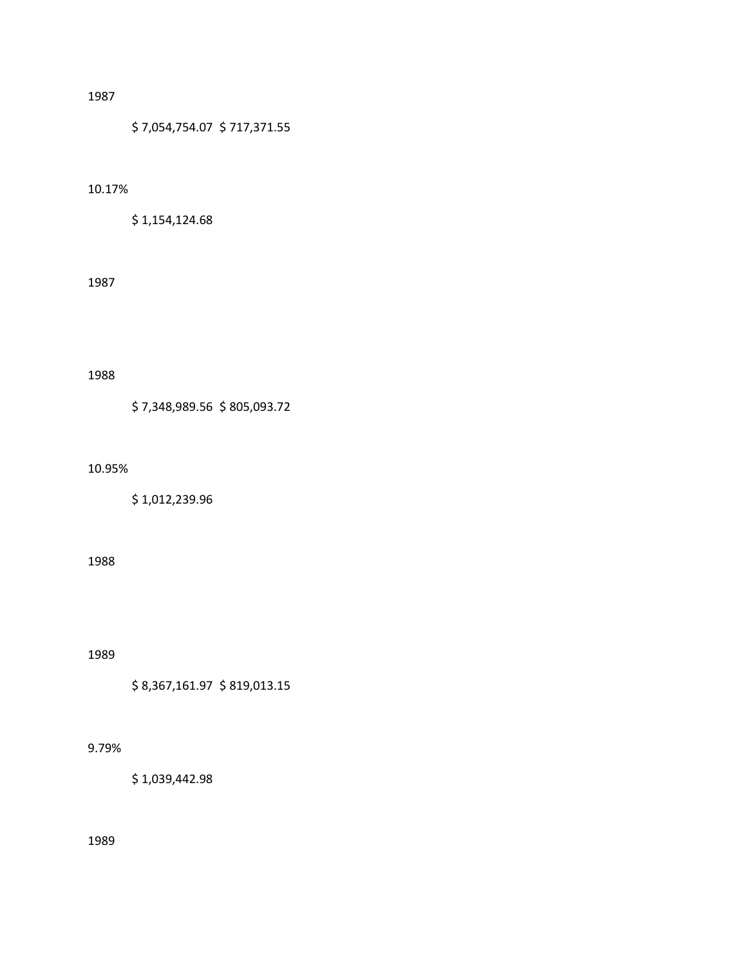\$ 7,054,754.07 \$ 717,371.55

# 10.17%

\$ 1,154,124.68

### 1987

#### 1988

\$ 7,348,989.56 \$ 805,093.72

#### 10.95%

\$ 1,012,239.96

### 1988

1989

\$ 8,367,161.97 \$ 819,013.15

## 9.79%

\$ 1,039,442.98

1989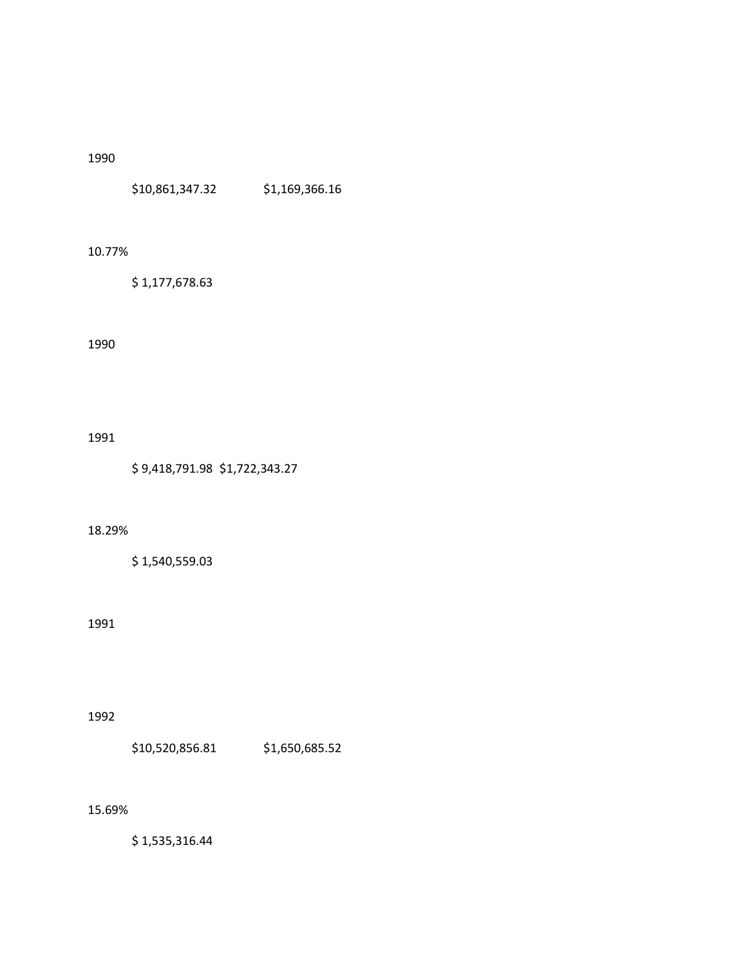\$10,861,347.32 \$1,169,366.16

### 10.77%

\$ 1,177,678.63

## 1990

1991

\$ 9,418,791.98 \$1,722,343.27

### 18.29%

\$ 1,540,559.03

## 1991

### 1992

\$10,520,856.81 \$1,650,685.52

### 15.69%

\$ 1,535,316.44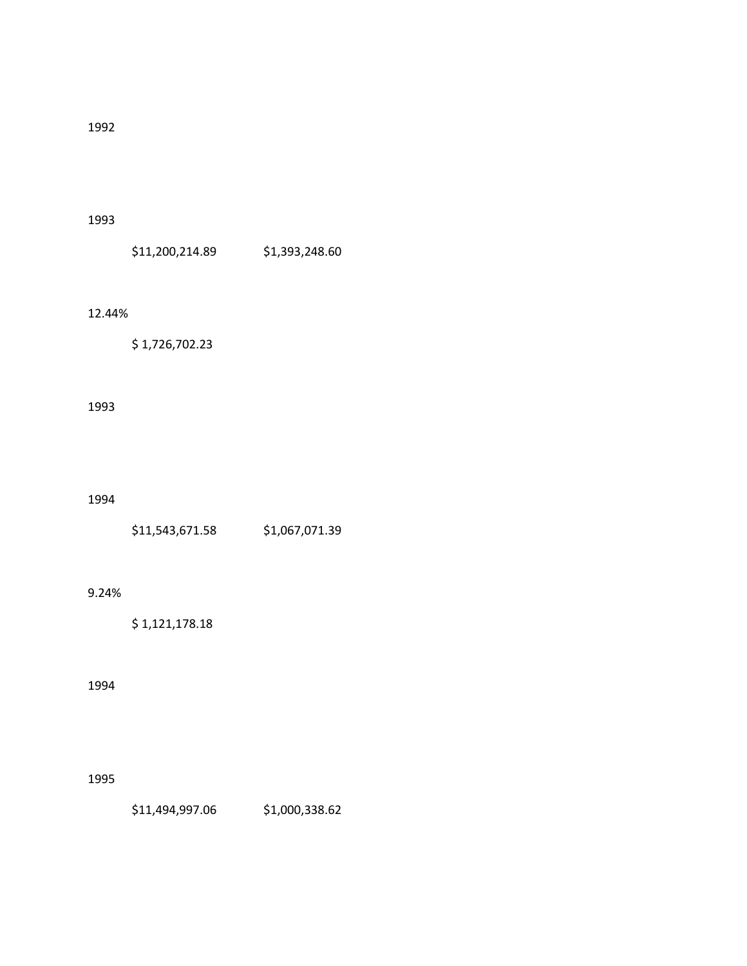#### 1993

\$11,200,214.89 \$1,393,248.60

### 12.44%

\$ 1,726,702.23

# 1993

1994

| \$11,543,671.58 | \$1,067,071.39 |
|-----------------|----------------|
|                 |                |

## 9.24%

\$ 1,121,178.18

## 1994

### 1995

\$11,494,997.06 \$1,000,338.62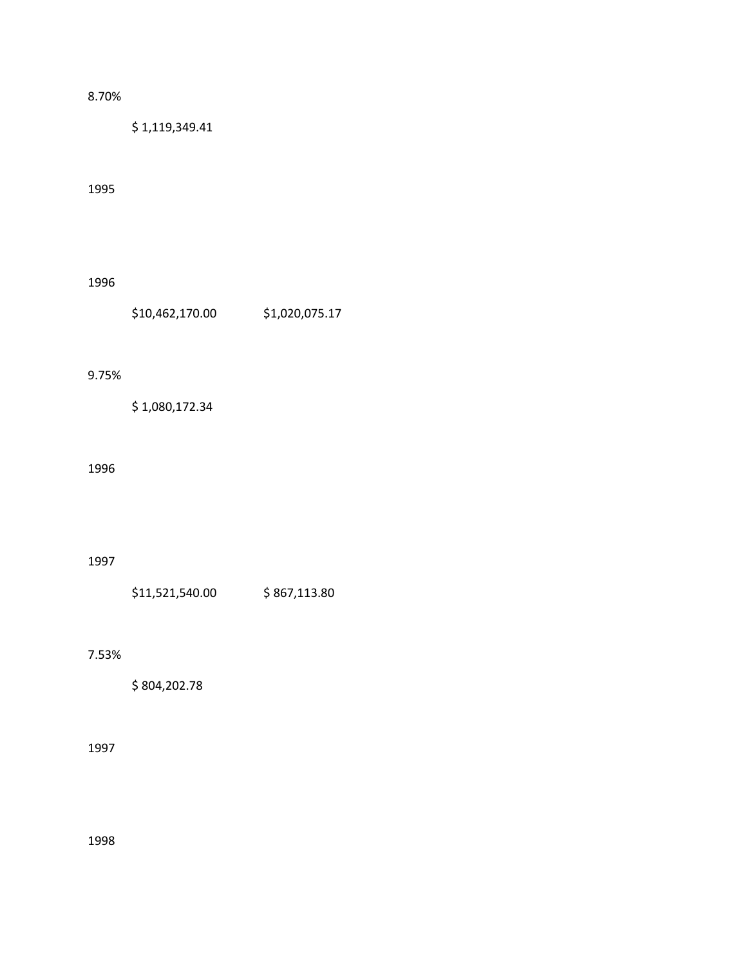## 8.70%

\$ 1,119,349.41

## 1995

1996

\$10,462,170.00 \$1,020,075.17

#### 9.75%

\$ 1,080,172.34

### 1996

## 1997

\$11,521,540.00 \$ 867,113.80

### 7.53%

\$ 804,202.78

## 1997

1998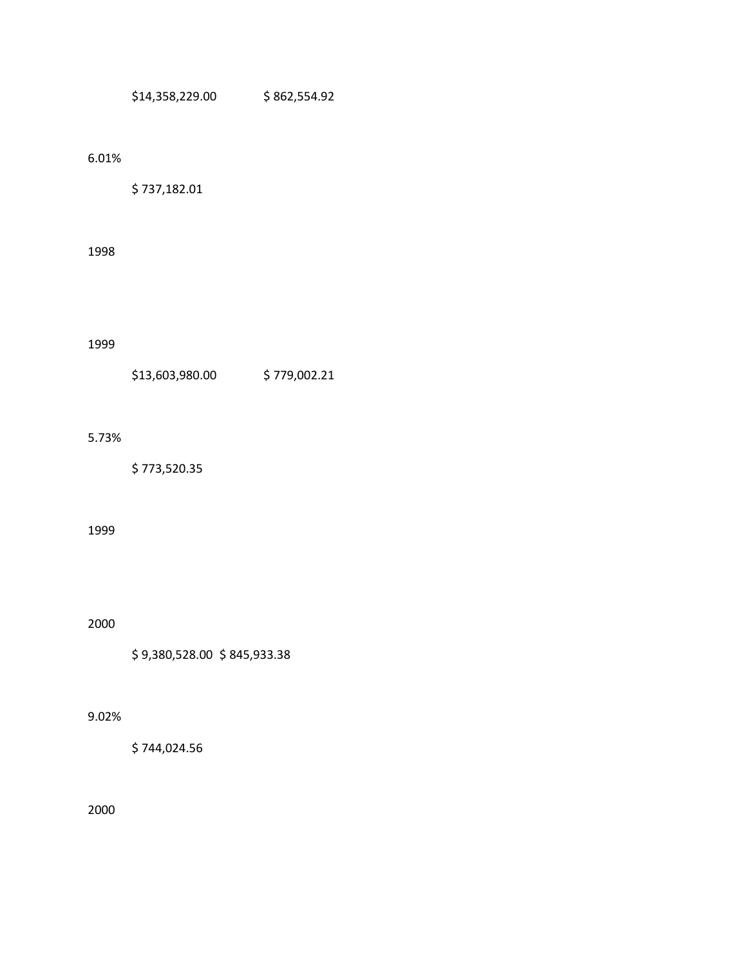\$14,358,229.00 \$ 862,554.92

## 6.01%

\$ 737,182.01

# 1998

1999

| \$13,603,980.00 | \$779,002.21 |
|-----------------|--------------|
|                 |              |

## 5.73%

\$ 773,520.35

#### 1999

2000

\$ 9,380,528.00 \$ 845,933.38

### 9.02%

\$ 744,024.56

2000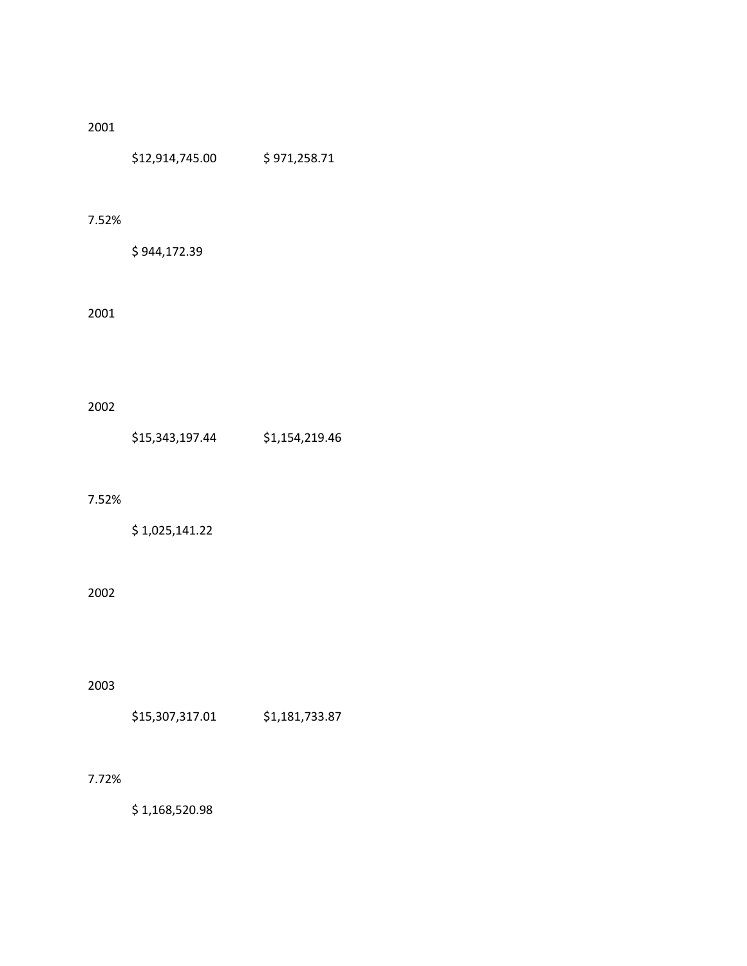\$12,914,745.00 \$ 971,258.71

#### 7.52%

\$ 944,172.39

## 2001

# 2002

### 7.52%

\$ 1,025,141.22

# 2002

# 2003

\$15,307,317.01 \$1,181,733.87

## 7.72%

\$ 1,168,520.98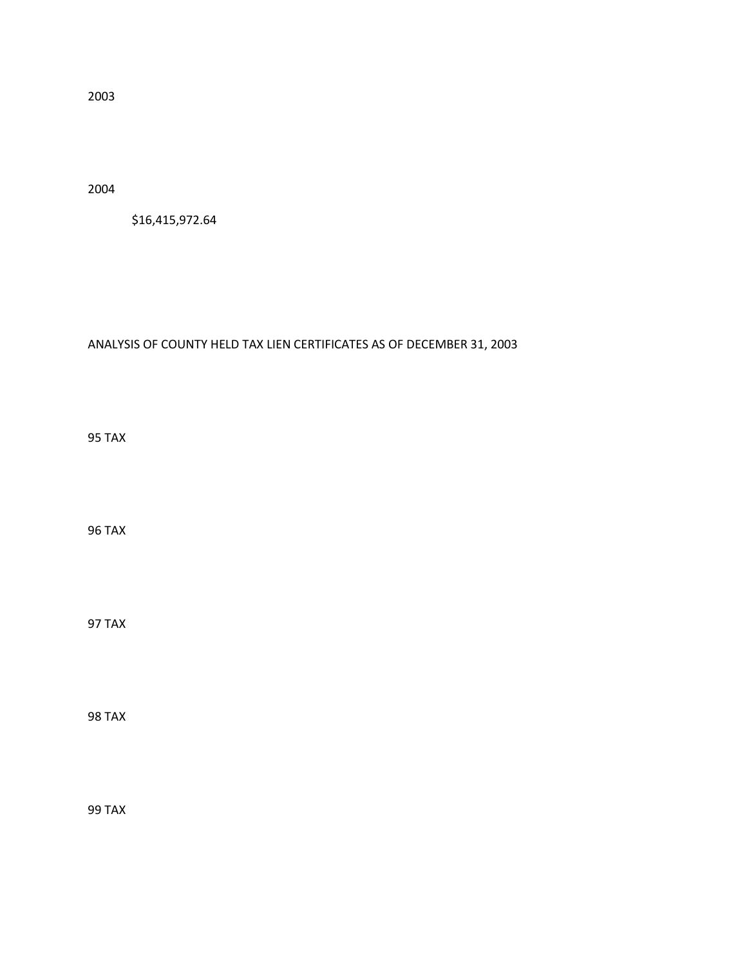2004

\$16,415,972.64

# ANALYSIS OF COUNTY HELD TAX LIEN CERTIFICATES AS OF DECEMBER 31, 2003

95 TAX

96 TAX

97 TAX

98 TAX

99 TAX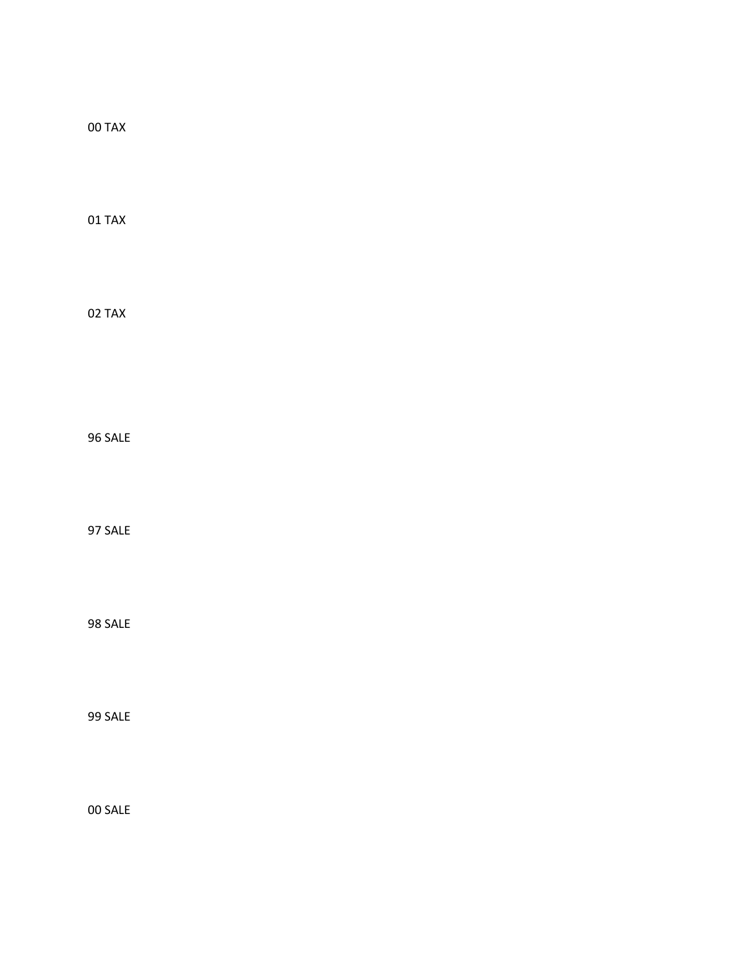00 TAX 01 TAX 02 TAX 96 SALE

97 SALE

98 SALE

99 SALE

00 SALE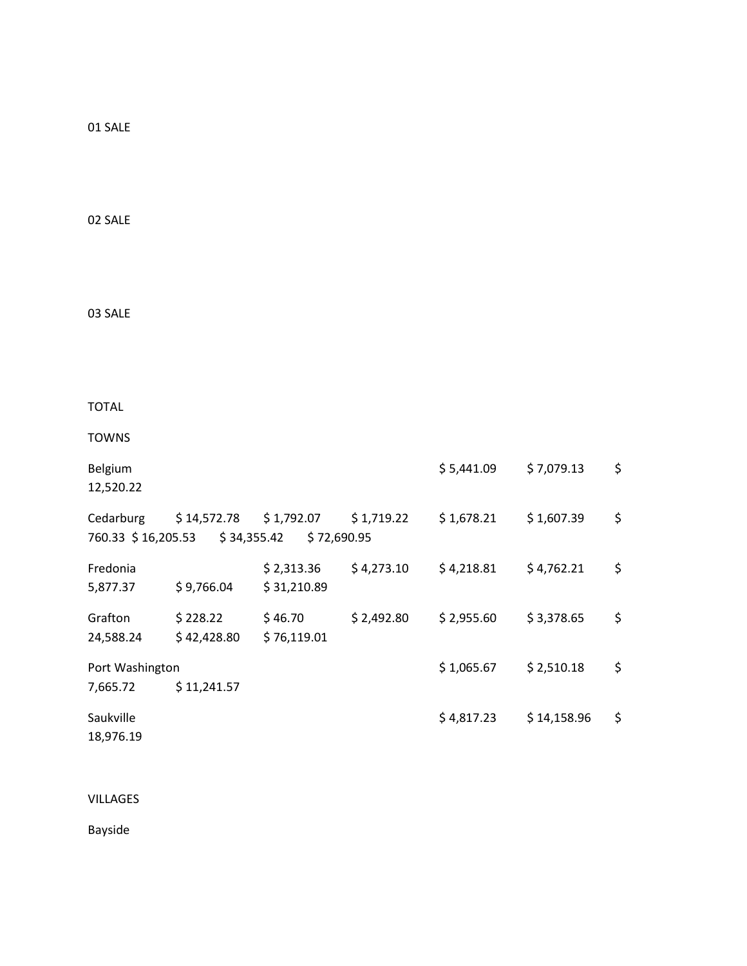01 SALE

02 SALE

03 SALE

TOTAL

TOWNS

| Belgium<br>12,520.22            |                          |                            |            | \$5,441.09 | \$7,079.13  | \$             |
|---------------------------------|--------------------------|----------------------------|------------|------------|-------------|----------------|
| Cedarburg<br>760.33 \$16,205.53 | $$14,572.78$ $$1,792.07$ | \$34,355.42<br>\$72,690.95 | \$1,719.22 | \$1,678.21 | \$1,607.39  | \$             |
| Fredonia<br>5,877.37            | \$9,766.04               | \$2,313.36<br>\$31,210.89  | \$4,273.10 | \$4,218.81 | \$4,762.21  | \$             |
| Grafton<br>24,588.24            | \$228.22<br>\$42,428.80  | \$46.70<br>\$76,119.01     | \$2,492.80 | \$2,955.60 | \$3,378.65  | \$             |
| Port Washington                 |                          |                            |            | \$1,065.67 | \$2,510.18  | \$             |
| 7,665.72                        | \$11,241.57              |                            |            |            |             |                |
| Saukville<br>18,976.19          |                          |                            |            | \$4,817.23 | \$14,158.96 | $\ddot{\zeta}$ |

VILLAGES

Bayside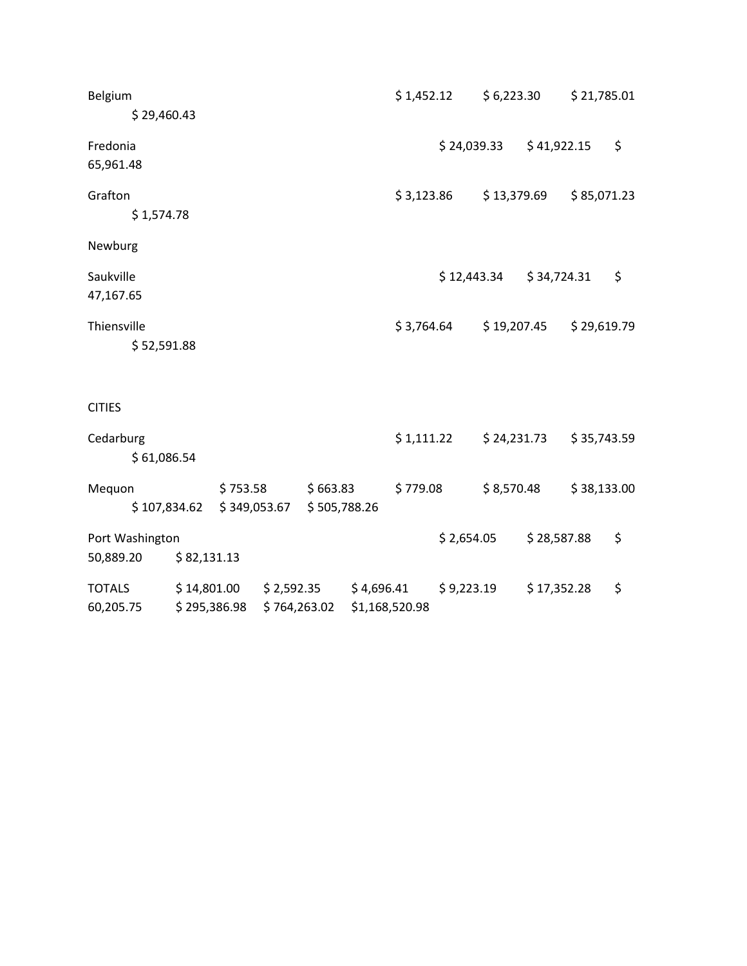| Belgium         |              |              |                                                  | \$1,452.12     |            | \$6,223.30 |                           | \$21,785.01 |
|-----------------|--------------|--------------|--------------------------------------------------|----------------|------------|------------|---------------------------|-------------|
|                 | \$29,460.43  |              |                                                  |                |            |            |                           |             |
| Fredonia        |              |              |                                                  |                |            |            | $$24,039.33$ $$41,922.15$ | \$          |
| 65,961.48       |              |              |                                                  |                |            |            |                           |             |
| Grafton         |              |              |                                                  |                | \$3,123.86 |            | \$13,379.69               | \$85,071.23 |
|                 | \$1,574.78   |              |                                                  |                |            |            |                           |             |
| Newburg         |              |              |                                                  |                |            |            |                           |             |
| Saukville       |              |              |                                                  |                |            |            | $$12,443.34$ $$34,724.31$ | \$          |
| 47,167.65       |              |              |                                                  |                |            |            |                           |             |
| Thiensville     |              |              |                                                  |                | \$3,764.64 |            | \$19,207.45               | \$29,619.79 |
|                 | \$52,591.88  |              |                                                  |                |            |            |                           |             |
| <b>CITIES</b>   |              |              |                                                  |                |            |            |                           |             |
| Cedarburg       |              |              |                                                  |                | \$1,111.22 |            | \$24,231.73               | \$35,743.59 |
|                 | \$61,086.54  |              |                                                  |                |            |            |                           |             |
| Mequon          |              | \$753.58     | \$663.83                                         | \$779.08       |            |            | \$8,570.48                | \$38,133.00 |
|                 | \$107,834.62 |              | \$349,053.67 \$505,788.26                        |                |            |            |                           |             |
| Port Washington |              |              |                                                  |                |            | \$2,654.05 | \$28,587.88               | \$          |
| 50,889.20       | \$82,131.13  |              |                                                  |                |            |            |                           |             |
| <b>TOTALS</b>   |              |              | $$14,801.00$ $$2,592.35$ $$4,696.41$ $$9,223.19$ |                |            |            | \$17,352.28               | \$          |
| 60,205.75       |              | \$295,386.98 | \$764,263.02                                     | \$1,168,520.98 |            |            |                           |             |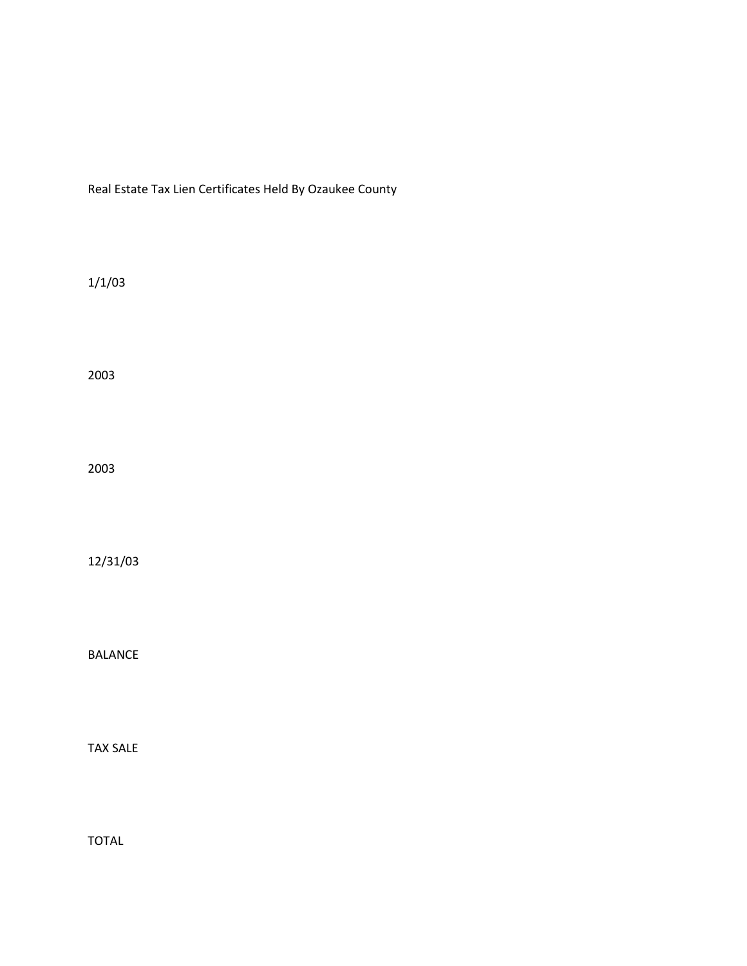Real Estate Tax Lien Certificates Held By Ozaukee County

1/1/03

2003

2003

12/31/03

BALANCE

TAX SALE

TOTAL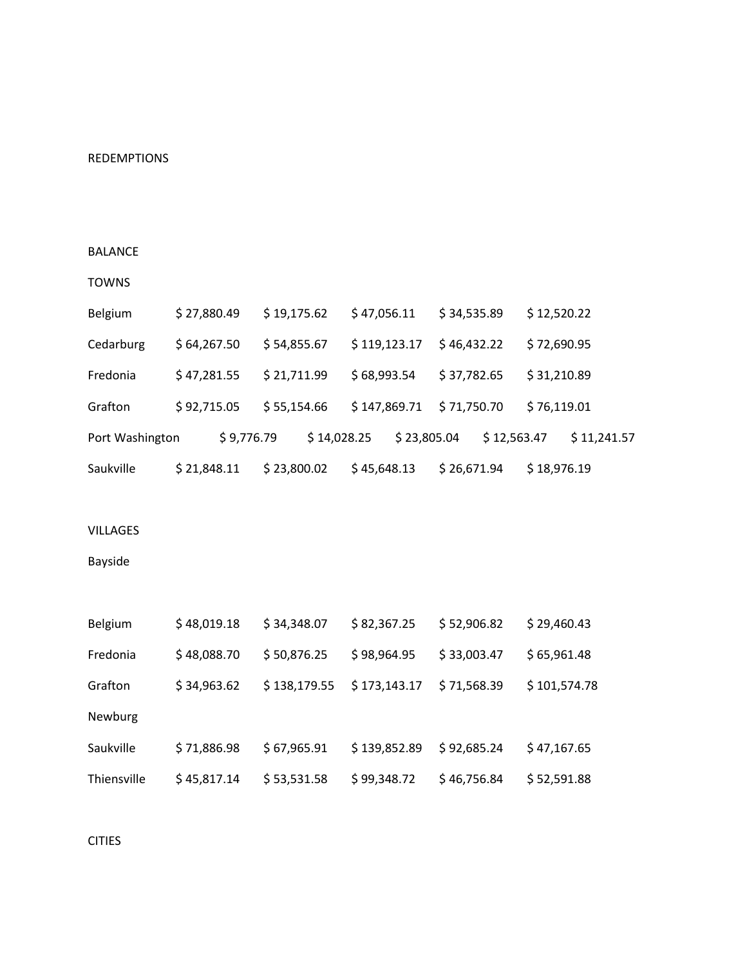## REDEMPTIONS

### BALANCE

#### TOWNS

| Belgium         | \$27,880.49 | \$19,175.62 | \$47,056.11  | \$34,535.89 | \$12,520.22 |
|-----------------|-------------|-------------|--------------|-------------|-------------|
| Cedarburg       | \$64,267.50 | \$54,855.67 | \$119,123.17 | \$46,432.22 | \$72,690.95 |
| Fredonia        | \$47,281.55 | \$21,711.99 | \$68,993.54  | \$37,782.65 | \$31,210.89 |
| Grafton         | \$92,715.05 | \$55,154.66 | \$147,869.71 | \$71,750.70 | \$76,119.01 |
| Port Washington | \$9,776.79  | \$14,028.25 | \$23,805.04  | \$12,563.47 | \$11,241.57 |
| Saukville       | \$21,848.11 | \$23,800.02 | \$45,648.13  | \$26,671.94 | \$18,976.19 |

#### VILLAGES

# Bayside

| Belgium     | \$48,019.18 | \$34,348.07  | \$82,367.25  | \$52,906.82 | \$29,460.43  |
|-------------|-------------|--------------|--------------|-------------|--------------|
| Fredonia    | \$48,088.70 | \$50,876.25  | \$98,964.95  | \$33,003.47 | \$65,961.48  |
| Grafton     | \$34,963.62 | \$138,179.55 | \$173,143.17 | \$71,568.39 | \$101,574.78 |
| Newburg     |             |              |              |             |              |
| Saukville   | \$71,886.98 | \$67,965.91  | \$139,852.89 | \$92,685.24 | \$47,167.65  |
| Thiensville | \$45,817.14 | \$53,531.58  | \$99,348.72  | \$46,756.84 | \$52,591.88  |

# CITIES